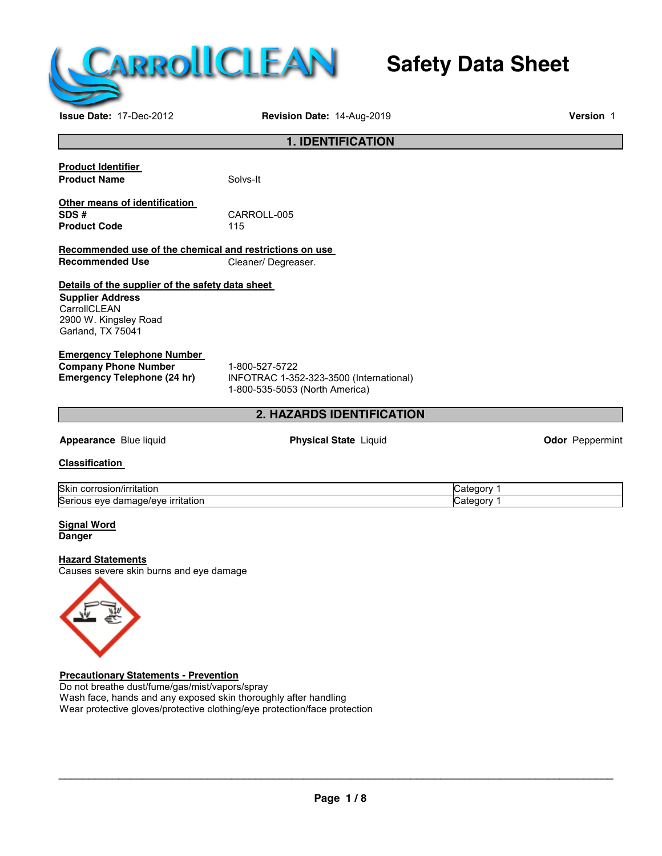

# **Safety Data Sheet**

**Issue Date:** 17-Dec-2012 **Revision Date:** 14-Aug-2019 **Version** 1

#### **1. IDENTIFICATION**

**Product Identifier Product Name** Solvs-It

**Other means of identification SDS #** CARROLL-005 **Product Code** 

**Recommended use of the chemical and restrictions on use Recommended Use Cleaner/ Degreaser.** 

#### **Details of the supplier of the safety data sheet**

**Supplier Address CarrollCLEAN** 2900 W. Kingsley Road Garland, TX 75041

#### **Emergency Telephone Number**

**Company Phone Number** 1-800-527-5722<br> **Emergency Telephone (24 hr)** INFOTRAC 1-35

**Emergency Telephone (24 hr)** INFOTRAC 1-352-323-3500 (International) 1-800-535-5053 (North America)

#### **2. HAZARDS IDENTIFICATION**

**Appearance** Blue liquid **Physical State** Liquid **Odor** Peppermint

**Classification** 

| Skir<br>'ritatior<br>. .OF '<br>OSIOI                                      |  |
|----------------------------------------------------------------------------|--|
| Serio<br>∵ritation ∵<br>. .<br>$\cdots$<br>uage:<br>eve<br>~<br>7.AV<br>аа |  |

**Signal Word Danger** 

#### **Hazard Statements**

Causes severe skin burns and eye damage



**Precautionary Statements - Prevention** Do not breathe dust/fume/gas/mist/vapors/spray Wash face, hands and any exposed skin thoroughly after handling Wear protective gloves/protective clothing/eye protection/face protection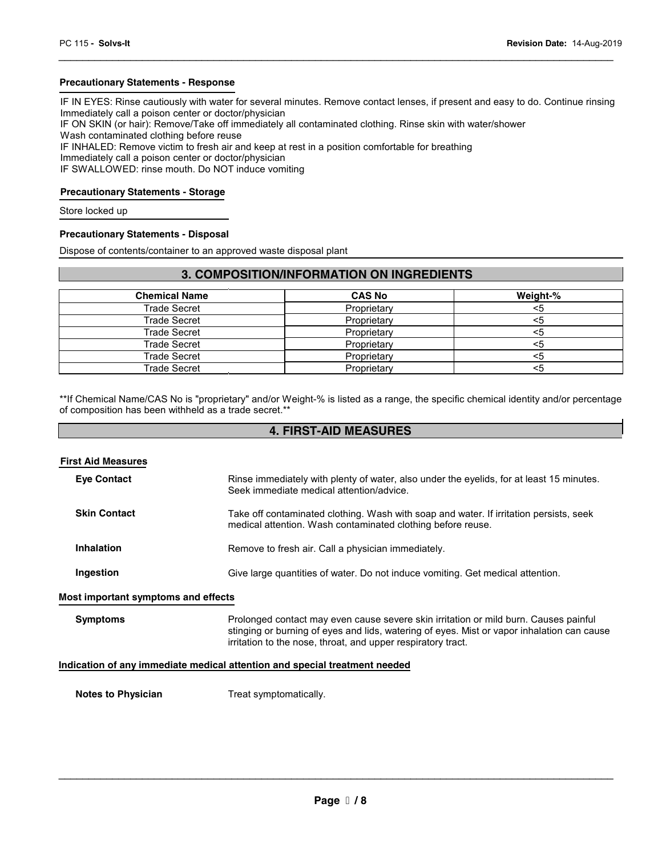#### **Precautionary Statements - Response**

IF IN EYES: Rinse cautiously with water for several minutes. Remove contact lenses, if present and easy to do. Continue rinsing Immediately call a poison center or doctor/physician

\_\_\_\_\_\_\_\_\_\_\_\_\_\_\_\_\_\_\_\_\_\_\_\_\_\_\_\_\_\_\_\_\_\_\_\_\_\_\_\_\_\_\_\_\_\_\_\_\_\_\_\_\_\_\_\_\_\_\_\_\_\_\_\_\_\_\_\_\_\_\_\_\_\_\_\_\_\_\_\_\_\_\_\_\_\_\_\_\_\_\_\_\_

IF ON SKIN (or hair): Remove/Take off immediately all contaminated clothing. Rinse skin with water/shower

Wash contaminated clothing before reuse

IF INHALED: Remove victim to fresh air and keep at rest in a position comfortable for breathing

Immediately call a poison center or doctor/physician

IF SWALLOWED: rinse mouth. Do NOT induce vomiting

#### **Precautionary Statements - Storage**

Store locked up

#### **Precautionary Statements - Disposal**

Dispose of contents/container to an approved waste disposal plant

#### **3. COMPOSITION/INFORMATION ON INGREDIENTS**

| <b>Chemical Name</b> | <b>CAS No</b> | Weight-% |
|----------------------|---------------|----------|
| Trade Secret         | Proprietary   | <5       |
| Trade Secret         | Proprietary   | <5       |
| Trade Secret         | Proprietary   | <5       |
| Trade Secret         | Proprietary   | <5       |
| Trade Secret         | Proprietary   | <5       |
| Trade Secret         | Proprietary   | <5       |

\*\*If Chemical Name/CAS No is "proprietary" and/or Weight-% is listed as a range, the specific chemical identity and/or percentage of composition has been withheld as a trade secret.\*\*

#### **4. FIRST-AID MEASURES**

| <b>First Aid Measures</b>           |                                                                                                                                                                                                                                                    |
|-------------------------------------|----------------------------------------------------------------------------------------------------------------------------------------------------------------------------------------------------------------------------------------------------|
| <b>Eye Contact</b>                  | Rinse immediately with plenty of water, also under the eyelids, for at least 15 minutes.<br>Seek immediate medical attention/advice.                                                                                                               |
| <b>Skin Contact</b>                 | Take off contaminated clothing. Wash with soap and water. If irritation persists, seek<br>medical attention. Wash contaminated clothing before reuse.                                                                                              |
| <b>Inhalation</b>                   | Remove to fresh air. Call a physician immediately.                                                                                                                                                                                                 |
| Ingestion                           | Give large quantities of water. Do not induce vomiting. Get medical attention.                                                                                                                                                                     |
| Most important symptoms and effects |                                                                                                                                                                                                                                                    |
| <b>Symptoms</b>                     | Prolonged contact may even cause severe skin irritation or mild burn. Causes painful<br>stinging or burning of eyes and lids, watering of eyes. Mist or vapor inhalation can cause<br>irritation to the nose, throat, and upper respiratory tract. |
|                                     | <u>Indication of any immediate medical ettention and encoial treatment needed</u>                                                                                                                                                                  |

#### **Indication of any immediate medical attention and special treatment needed**

**Notes to Physician**  Treat symptomatically.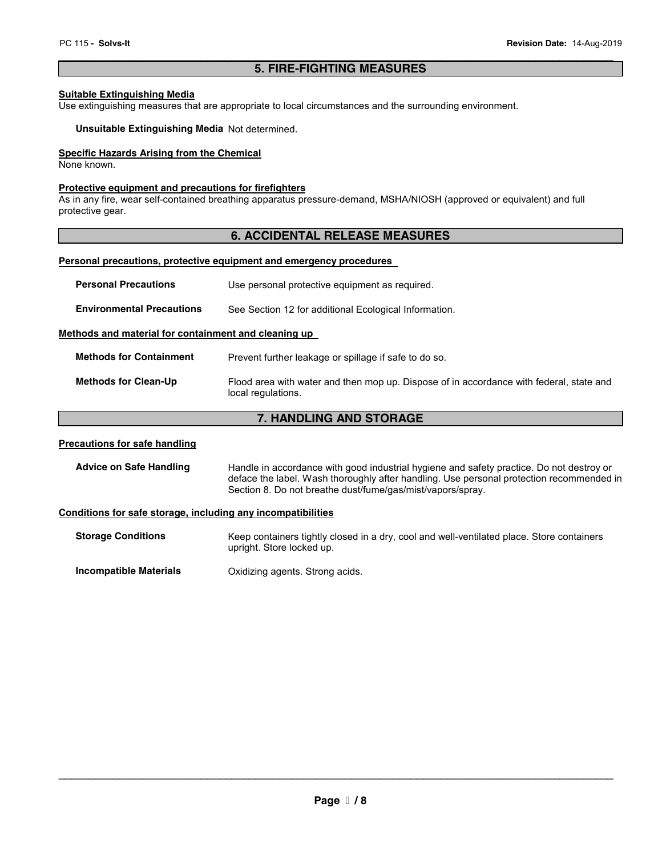#### \_\_\_\_\_\_\_\_\_\_\_\_\_\_\_\_\_\_\_\_\_\_\_\_\_\_\_\_\_\_\_\_\_\_\_\_\_\_\_\_\_\_\_\_\_\_\_\_\_\_\_\_\_\_\_\_\_\_\_\_\_\_\_\_\_\_\_\_\_\_\_\_\_\_\_\_\_\_\_\_\_\_\_\_\_\_\_\_\_\_\_\_\_ **5. FIRE-FIGHTING MEASURES**

#### **Suitable Extinguishing Media**

Use extinguishing measures that are appropriate to local circumstances and the surrounding environment.

**Unsuitable Extinguishing Media** Not determined.

#### **Specific Hazards Arising from the Chemical**

None known.

#### **Protective equipment and precautions for firefighters**

As in any fire, wear self-contained breathing apparatus pressure-demand, MSHA/NIOSH (approved or equivalent) and full protective gear.

#### **6. ACCIDENTAL RELEASE MEASURES**

#### **Personal precautions, protective equipment and emergency procedures**

| <b>Personal Precautions</b>                          | Use personal protective equipment as required.                                                                |
|------------------------------------------------------|---------------------------------------------------------------------------------------------------------------|
| <b>Environmental Precautions</b>                     | See Section 12 for additional Ecological Information.                                                         |
| Methods and material for containment and cleaning up |                                                                                                               |
| <b>Methods for Containment</b>                       | Prevent further leakage or spillage if safe to do so.                                                         |
| <b>Methods for Clean-Up</b>                          | Flood area with water and then mop up. Dispose of in accordance with federal, state and<br>local regulations. |

### **7. HANDLING AND STORAGE**

#### **Precautions for safe handling**

| <b>Advice on Safe Handling</b> | Handle in accordance with good industrial hygiene and safety practice. Do not destroy or |
|--------------------------------|------------------------------------------------------------------------------------------|
|                                | deface the label. Wash thoroughly after handling. Use personal protection recommended in |
|                                | Section 8. Do not breathe dust/fume/gas/mist/vapors/spray.                               |

#### **Conditions for safe storage, including any incompatibilities**

| <b>Storage Conditions</b> | Keep containers tightly closed in a dry, cool and well-ventilated place. Store containers<br>upright. Store locked up. |
|---------------------------|------------------------------------------------------------------------------------------------------------------------|
| Incompatible Materials    | Oxidizing agents. Strong acids.                                                                                        |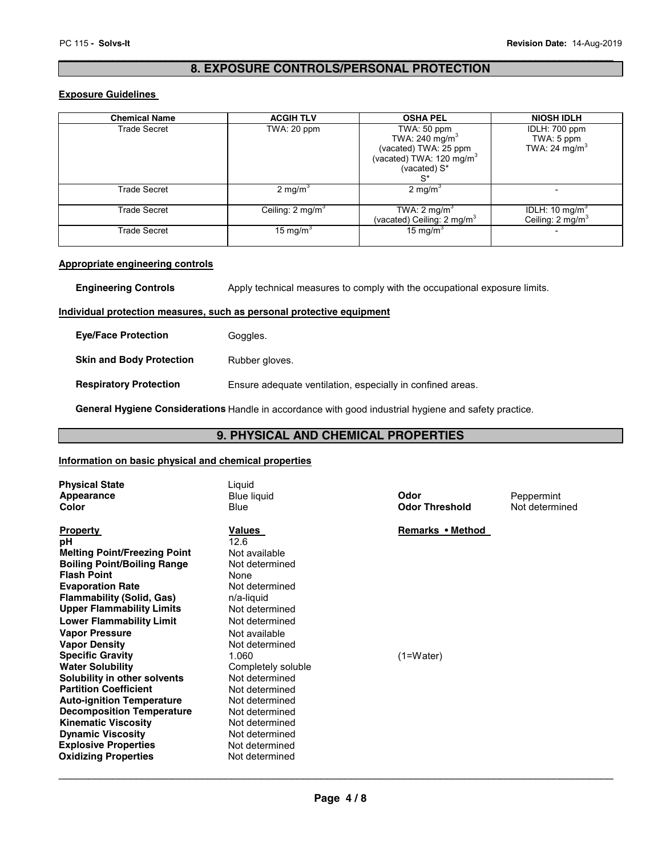#### \_\_\_\_\_\_\_\_\_\_\_\_\_\_\_\_\_\_\_\_\_\_\_\_\_\_\_\_\_\_\_\_\_\_\_\_\_\_\_\_\_\_\_\_\_\_\_\_\_\_\_\_\_\_\_\_\_\_\_\_\_\_\_\_\_\_\_\_\_\_\_\_\_\_\_\_\_\_\_\_\_\_\_\_\_\_\_\_\_\_\_\_\_ **8. EXPOSURE CONTROLS/PERSONAL PROTECTION**

#### **Exposure Guidelines**

| <b>Chemical Name</b> | <b>ACGIH TLV</b>            | <b>OSHA PEL</b>                                                                                                               | <b>NIOSH IDLH</b>                                          |
|----------------------|-----------------------------|-------------------------------------------------------------------------------------------------------------------------------|------------------------------------------------------------|
| <b>Trade Secret</b>  | TWA: 20 ppm                 | TWA: 50 ppm<br>TWA: 240 mg/m $3$<br>(vacated) TWA: 25 ppm<br>(vacated) TWA: 120 mg/m <sup>3</sup><br>(vacated) $S^*$<br>$S^*$ | IDLH: 700 ppm<br>TWA: 5 ppm<br>TWA: 24 mg/m <sup>3</sup>   |
| <b>Trade Secret</b>  | $2 \text{ mg/m}^3$          | $2$ mg/m <sup>s</sup>                                                                                                         |                                                            |
| <b>Trade Secret</b>  | Ceiling: $2 \text{ mg/m}^3$ | TWA: $2 \text{ mg/m}^3$<br>(vacated) Ceiling: $2 \text{ mg/m}^3$                                                              | IDLH: 10 mg/m <sup>3</sup><br>Ceiling: 2 mg/m <sup>3</sup> |
| <b>Trade Secret</b>  | 15 mg/m <sup>3</sup>        | 15 mg/m <sup>3</sup>                                                                                                          |                                                            |

#### **Appropriate engineering controls**

**Engineering Controls** Apply technical measures to comply with the occupational exposure limits.

#### **Individual protection measures, such as personal protective equipment**

| <b>Eve/Face Protection</b>      | Goggles.                                                   |
|---------------------------------|------------------------------------------------------------|
| <b>Skin and Body Protection</b> | Rubber gloves.                                             |
| <b>Respiratory Protection</b>   | Ensure adequate ventilation, especially in confined areas. |

**General Hygiene Considerations** Handle in accordance with good industrial hygiene and safety practice.

#### **9. PHYSICAL AND CHEMICAL PROPERTIES**

#### **Information on basic physical and chemical properties**

| <b>Physical State</b><br>Appearance<br>Color                                                                                                                                                                                                                                                                                                                                                                                                                                                                                                                                                                                          | Liquid<br>Blue liquid<br>Blue                                                                                                                                                                                                                                                                                                                   | Odor<br><b>Odor Threshold</b>   | Peppermint<br>Not determined |
|---------------------------------------------------------------------------------------------------------------------------------------------------------------------------------------------------------------------------------------------------------------------------------------------------------------------------------------------------------------------------------------------------------------------------------------------------------------------------------------------------------------------------------------------------------------------------------------------------------------------------------------|-------------------------------------------------------------------------------------------------------------------------------------------------------------------------------------------------------------------------------------------------------------------------------------------------------------------------------------------------|---------------------------------|------------------------------|
| <b>Property</b><br>рH<br><b>Melting Point/Freezing Point</b><br><b>Boiling Point/Boiling Range</b><br><b>Flash Point</b><br><b>Evaporation Rate</b><br><b>Flammability (Solid, Gas)</b><br><b>Upper Flammability Limits</b><br><b>Lower Flammability Limit</b><br><b>Vapor Pressure</b><br><b>Vapor Density</b><br><b>Specific Gravity</b><br><b>Water Solubility</b><br>Solubility in other solvents<br><b>Partition Coefficient</b><br><b>Auto-ignition Temperature</b><br><b>Decomposition Temperature</b><br><b>Kinematic Viscosity</b><br><b>Dynamic Viscosity</b><br><b>Explosive Properties</b><br><b>Oxidizing Properties</b> | Values<br>12.6<br>Not available<br>Not determined<br>None<br>Not determined<br>n/a-liquid<br>Not determined<br>Not determined<br>Not available<br>Not determined<br>1.060<br>Completely soluble<br>Not determined<br>Not determined<br>Not determined<br>Not determined<br>Not determined<br>Not determined<br>Not determined<br>Not determined | Remarks • Method<br>$(1=Water)$ |                              |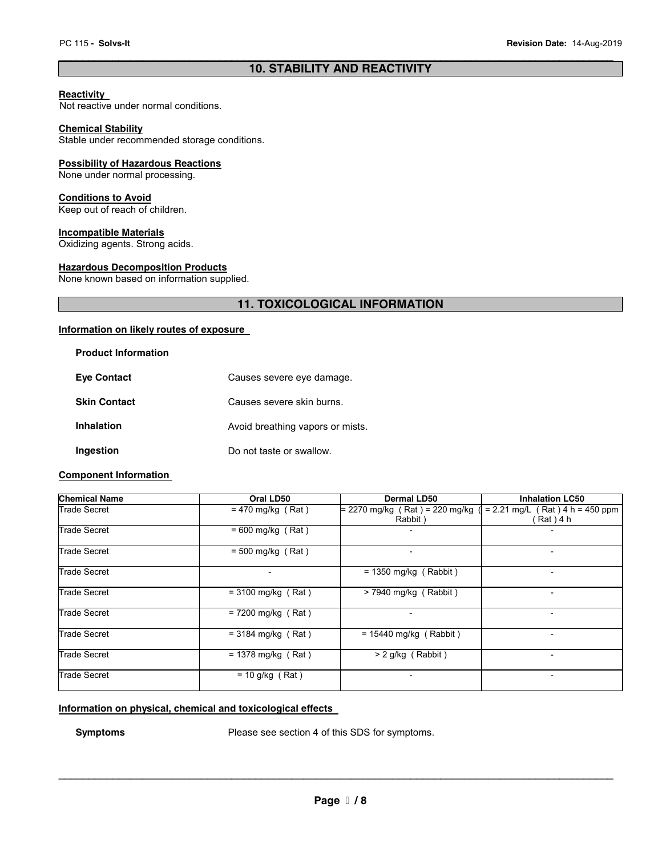#### \_\_\_\_\_\_\_\_\_\_\_\_\_\_\_\_\_\_\_\_\_\_\_\_\_\_\_\_\_\_\_\_\_\_\_\_\_\_\_\_\_\_\_\_\_\_\_\_\_\_\_\_\_\_\_\_\_\_\_\_\_\_\_\_\_\_\_\_\_\_\_\_\_\_\_\_\_\_\_\_\_\_\_\_\_\_\_\_\_\_\_\_\_ **10. STABILITY AND REACTIVITY**

#### **Reactivity**

Not reactive under normal conditions.

#### **Chemical Stability**

Stable under recommended storage conditions.

#### **Possibility of Hazardous Reactions**

None under normal processing.

#### **Conditions to Avoid**

Keep out of reach of children.

#### **Incompatible Materials**

Oxidizing agents. Strong acids.

#### **Hazardous Decomposition Products**

None known based on information supplied.

#### **11. TOXICOLOGICAL INFORMATION**

#### **Information on likely routes of exposure**

| <b>Product Information</b> |                                  |
|----------------------------|----------------------------------|
| <b>Eve Contact</b>         | Causes severe eye damage.        |
| <b>Skin Contact</b>        | Causes severe skin burns.        |
| <b>Inhalation</b>          | Avoid breathing vapors or mists. |
| Ingestion                  | Do not taste or swallow.         |

#### **Component Information**

| <b>Chemical Name</b> | Oral LD50            | Dermal LD50                    | <b>Inhalation LC50</b>            |
|----------------------|----------------------|--------------------------------|-----------------------------------|
| Trade Secret         | $= 470$ mg/kg (Rat)  | = 2270 mg/kg (Rat) = 220 mg/kg | $= 2.21$ mg/L (Rat) 4 h = 450 ppm |
|                      |                      | Rabbit)                        | Rat ) 4 h                         |
| <b>Trade Secret</b>  | $= 600$ mg/kg (Rat)  |                                |                                   |
| Trade Secret         | $= 500$ mg/kg (Rat)  |                                | $\overline{\phantom{a}}$          |
| <b>Trade Secret</b>  |                      | $= 1350$ mg/kg (Rabbit)        | -                                 |
| <b>Trade Secret</b>  | $= 3100$ mg/kg (Rat) | $>$ 7940 mg/kg (Rabbit)        |                                   |
| <b>Trade Secret</b>  | $= 7200$ mg/kg (Rat) |                                | -                                 |
| <b>Trade Secret</b>  | $=$ 3184 mg/kg (Rat) | $= 15440$ mg/kg (Rabbit)       |                                   |
| <b>Trade Secret</b>  | $= 1378$ mg/kg (Rat) | $> 2$ g/kg (Rabbit)            |                                   |
| Trade Secret         | $= 10$ g/kg (Rat)    |                                |                                   |

#### **Information on physical, chemical and toxicological effects**

**Symptoms** Please see section 4 of this SDS for symptoms.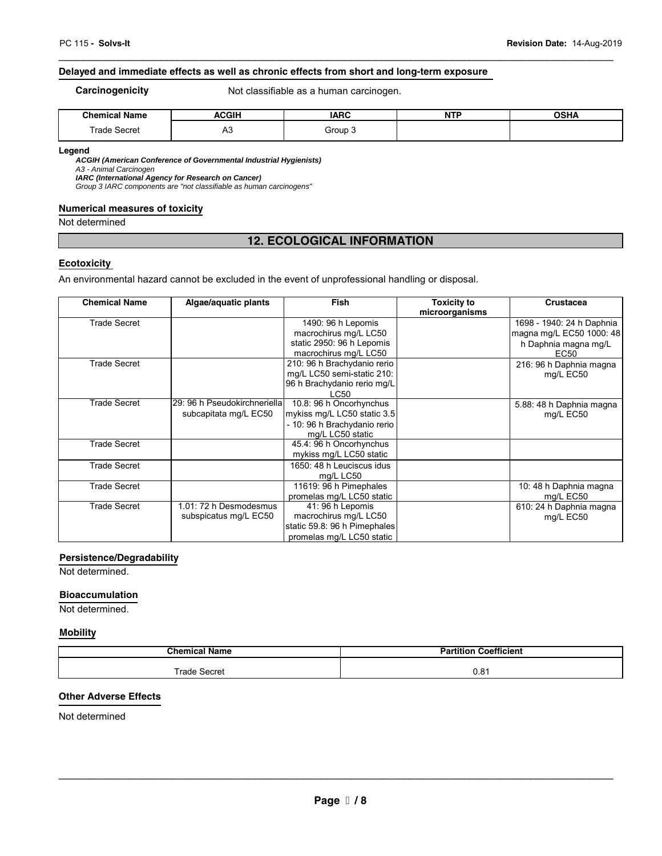#### **Delayed and immediate effects as well as chronic effects from short and long-term exposure**

**Carcinogenicity Not classifiable as a human carcinogen.** 

| .<br>Chemical:<br>Name      | <b>ACGIH</b> | <b>IARC</b><br>$\sim$ | <b>NTP</b> | <b>OCUA</b> |
|-----------------------------|--------------|-----------------------|------------|-------------|
| <sup>-</sup> rade<br>Secret | $\sim$<br>mυ | $2$ roun              |            |             |

\_\_\_\_\_\_\_\_\_\_\_\_\_\_\_\_\_\_\_\_\_\_\_\_\_\_\_\_\_\_\_\_\_\_\_\_\_\_\_\_\_\_\_\_\_\_\_\_\_\_\_\_\_\_\_\_\_\_\_\_\_\_\_\_\_\_\_\_\_\_\_\_\_\_\_\_\_\_\_\_\_\_\_\_\_\_\_\_\_\_\_\_\_

#### **Legend**

**ACGIH (American Conference of Governmental Industrial Hygienists)**  A3 - Animal Carcinogen

**IARC (International Agency for Research on Cancer)** 

Group 3 IARC components are "not classifiable as human carcinogens"

#### **Numerical measures of toxicity**

Not determined

### **12. ECOLOGICAL INFORMATION**

#### **Ecotoxicity**

An environmental hazard cannot be excluded in the event of unprofessional handling or disposal.

| <b>Chemical Name</b> | Algae/aquatic plants                                  | <b>Fish</b>                                                                                                | <b>Toxicity to</b><br>microorganisms | <b>Crustacea</b>                                      |
|----------------------|-------------------------------------------------------|------------------------------------------------------------------------------------------------------------|--------------------------------------|-------------------------------------------------------|
| <b>Trade Secret</b>  |                                                       | 1490: 96 h Lepomis<br>macrochirus mg/L LC50                                                                |                                      | 1698 - 1940: 24 h Daphnia<br>magna mg/L EC50 1000: 48 |
|                      |                                                       | static 2950: 96 h Lepomis<br>macrochirus mg/L LC50                                                         |                                      | h Daphnia magna mg/L<br>EC50                          |
| <b>Trade Secret</b>  |                                                       | 210: 96 h Brachydanio rerio<br>mg/L LC50 semi-static 210:<br>96 h Brachydanio rerio mg/L<br>LC50           |                                      | 216: 96 h Daphnia magna<br>mg/L EC50                  |
| Trade Secret         | 29: 96 h Pseudokirchneriella<br>subcapitata mg/L EC50 | 10.8: 96 h Oncorhynchus<br>mykiss mg/L LC50 static 3.5<br>- 10: 96 h Brachydanio rerio<br>mg/L LC50 static |                                      | 5.88: 48 h Daphnia magna<br>mg/L EC50                 |
| <b>Trade Secret</b>  |                                                       | 45.4: 96 h Oncorhynchus<br>mykiss mg/L LC50 static                                                         |                                      |                                                       |
| <b>Trade Secret</b>  |                                                       | 1650: 48 h Leuciscus idus<br>mg/L LC50                                                                     |                                      |                                                       |
| <b>Trade Secret</b>  |                                                       | 11619: 96 h Pimephales<br>promelas mg/L LC50 static                                                        |                                      | 10: 48 h Daphnia magna<br>mg/L EC50                   |
| <b>Trade Secret</b>  | 1.01: 72 h Desmodesmus<br>subspicatus mg/L EC50       | 41: 96 h Lepomis<br>macrochirus mg/L LC50<br>static 59.8: 96 h Pimephales<br>promelas mg/L LC50 static     |                                      | 610: 24 h Daphnia magna<br>mg/L EC50                  |

#### **Persistence/Degradability**

Not determined.

#### **Bioaccumulation**

Not determined.

## **Mobility**

| <b>Chemical</b><br>' Name | .<br>Partition<br><b>Coefficient</b> |
|---------------------------|--------------------------------------|
| Frade Secret              | ּ הי<br>U.OI                         |

#### **Other Adverse Effects**

Not determined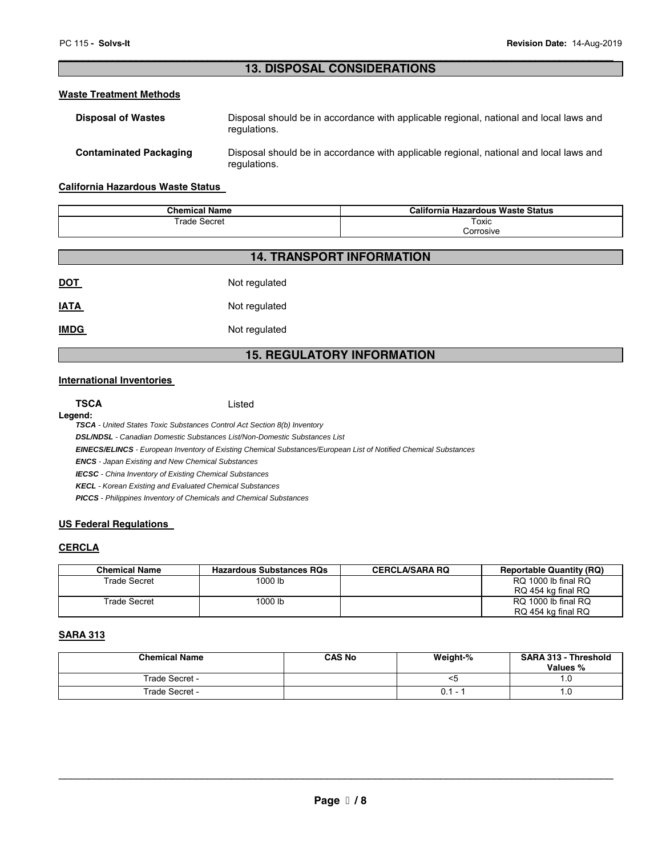#### \_\_\_\_\_\_\_\_\_\_\_\_\_\_\_\_\_\_\_\_\_\_\_\_\_\_\_\_\_\_\_\_\_\_\_\_\_\_\_\_\_\_\_\_\_\_\_\_\_\_\_\_\_\_\_\_\_\_\_\_\_\_\_\_\_\_\_\_\_\_\_\_\_\_\_\_\_\_\_\_\_\_\_\_\_\_\_\_\_\_\_\_\_ **13. DISPOSAL CONSIDERATIONS**

#### **Waste Treatment Methods**

| <b>Disposal of Wastes</b>     | Disposal should be in accordance with applicable regional, national and local laws and<br>regulations. |
|-------------------------------|--------------------------------------------------------------------------------------------------------|
| <b>Contaminated Packaging</b> | Disposal should be in accordance with applicable regional, national and local laws and<br>regulations. |

#### **California Hazardous Waste Status**

| <b>Chemical Name</b> | California Hazardous Waste Status |
|----------------------|-----------------------------------|
| Trade<br>Secret      | Toxic                             |
|                      | orrosive;                         |

|            | <b>14. TRANSPORT INFORMATION</b> |
|------------|----------------------------------|
| <u>DOT</u> | Not regulated                    |
| IATA       | Not regulated                    |
| IMDG       | Not regulated                    |

#### **15. REGULATORY INFORMATION**

#### **International Inventories**

| <b>TSCA</b> | Listed |
|-------------|--------|
| Legend:     |        |

**TSCA** - United States Toxic Substances Control Act Section 8(b) Inventory

**DSL/NDSL** - Canadian Domestic Substances List/Non-Domestic Substances List

**EINECS/ELINCS** - European Inventory of Existing Chemical Substances/European List of Notified Chemical Substances

**ENCS** - Japan Existing and New Chemical Substances

**IECSC** - China Inventory of Existing Chemical Substances

**KECL** - Korean Existing and Evaluated Chemical Substances

**PICCS** - Philippines Inventory of Chemicals and Chemical Substances

#### **US Federal Regulations**

#### **CERCLA**

| <b>Chemical Name</b> | <b>Hazardous Substances RQs</b> | <b>CERCLA/SARA RQ</b> | <b>Reportable Quantity (RQ)</b>           |
|----------------------|---------------------------------|-----------------------|-------------------------------------------|
| Trade Secret         | 1000 lb                         |                       | RQ 1000 lb final RQ<br>RQ 454 kg final RQ |
| Trade Secret         | 1000 lb                         |                       | RQ 1000 lb final RQ<br>RQ 454 kg final RQ |

#### **SARA 313**

| <b>Chemical Name</b> | <b>CAS No</b> | Weight-% | <b>SARA 313 - Threshold</b> |
|----------------------|---------------|----------|-----------------------------|
|                      |               |          | Values %                    |
| Trade Secret -       |               | <ວ       | ٠.υ                         |
| Trade Secret -       |               | $0.1 -$  |                             |